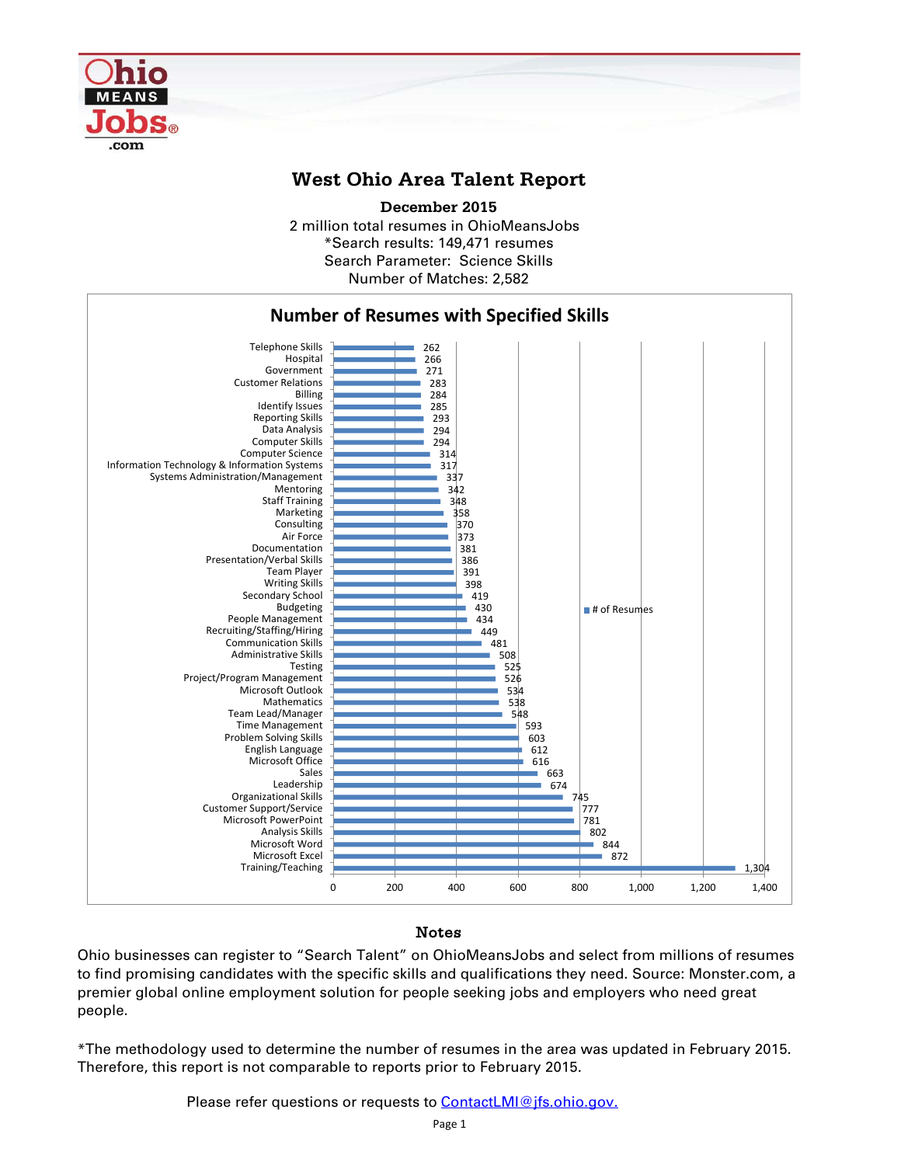

## **West Ohio Area Talent Report**

2 million total resumes in OhioMeansJobs \*Search results: 149,471 resumes Number of Matches: 2,582 **December 2015** Search Parameter: Science Skills



## Notes

Ohio businesses can register to "Search Talent" on OhioMeansJobs and select from millions of resumes to find promising candidates with the specific skills and qualifications they need. Source: Monster.com, a premier global online employment solution for people seeking jobs and employers who need great people.

\*The methodology used to determine the number of resumes in the area was updated in February 2015. Therefore, this report is not comparable to reports prior to February 2015.

Please refer questions or requests to **ContactLMI@jfs.ohio.gov.**